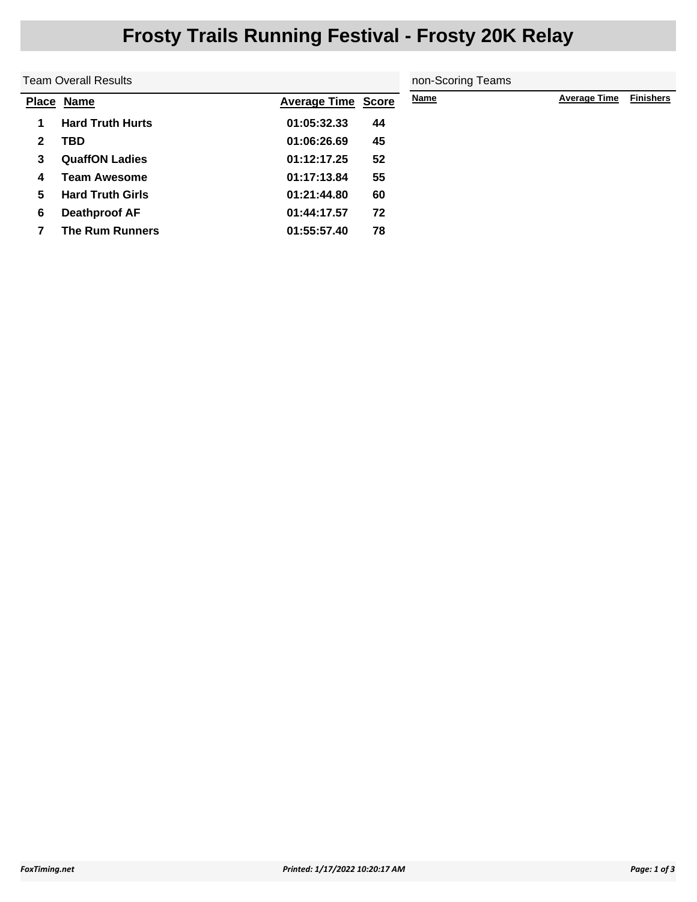## **Frosty Trails Running Festival - Frosty 20K Relay**

| <b>Team Overall Results</b> |                         |                           | non-Scoring Teams |             |                     |                  |
|-----------------------------|-------------------------|---------------------------|-------------------|-------------|---------------------|------------------|
|                             | Place Name              | <b>Average Time Score</b> |                   | <b>Name</b> | <b>Average Time</b> | <b>Finishers</b> |
|                             | <b>Hard Truth Hurts</b> | 01:05:32.33               | 44                |             |                     |                  |
| $\mathbf{2}$                | <b>TBD</b>              | 01:06:26.69               | 45                |             |                     |                  |
| 3                           | <b>QuaffON Ladies</b>   | 01:12:17.25               | 52                |             |                     |                  |
| 4                           | <b>Team Awesome</b>     | 01:17:13.84               | 55                |             |                     |                  |
| 5                           | <b>Hard Truth Girls</b> | 01:21:44.80               | 60                |             |                     |                  |
| 6                           | <b>Deathproof AF</b>    | 01:44:17.57               | 72                |             |                     |                  |
|                             | <b>The Rum Runners</b>  | 01:55:57.40               | 78                |             |                     |                  |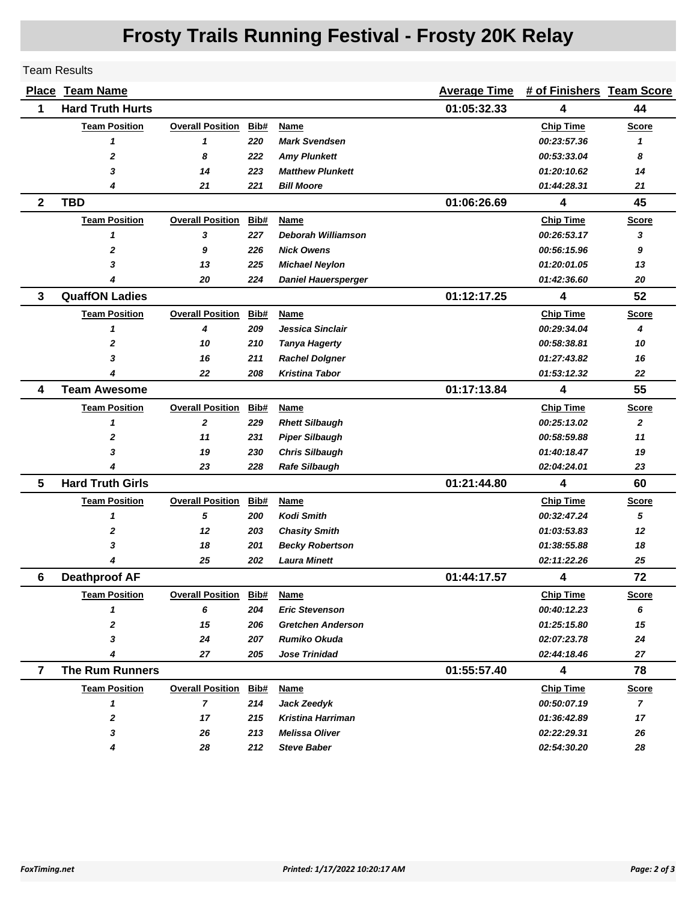## **Frosty Trails Running Festival - Frosty 20K Relay**

Team Results

|                | <b>Place Team Name</b>  |                         |      |                            | <b>Average Time</b> | # of Finishers Team Score |                |
|----------------|-------------------------|-------------------------|------|----------------------------|---------------------|---------------------------|----------------|
| 1              | <b>Hard Truth Hurts</b> |                         |      |                            | 01:05:32.33         | 4                         | 44             |
|                | <b>Team Position</b>    | <b>Overall Position</b> | Bib# | Name                       |                     | <b>Chip Time</b>          | <b>Score</b>   |
|                | 1                       | 1                       | 220  | <b>Mark Svendsen</b>       |                     | 00:23:57.36               | 1              |
|                | $\mathbf{2}$            | 8                       | 222  | <b>Amy Plunkett</b>        |                     | 00:53:33.04               | 8              |
|                | 3                       | 14                      | 223  | <b>Matthew Plunkett</b>    |                     | 01:20:10.62               | 14             |
|                | 4                       | 21                      | 221  | <b>Bill Moore</b>          |                     | 01:44:28.31               | 21             |
| $\mathbf{2}$   | <b>TBD</b>              |                         |      |                            | 01:06:26.69         | $\overline{\mathbf{4}}$   | 45             |
|                | <b>Team Position</b>    | <b>Overall Position</b> | Bib# | Name                       |                     | <b>Chip Time</b>          | Score          |
|                | 1                       | 3                       | 227  | Deborah Williamson         |                     | 00:26:53.17               | 3              |
|                | $\mathbf 2$             | 9                       | 226  | <b>Nick Owens</b>          |                     | 00:56:15.96               | 9              |
|                | 3                       | 13                      | 225  | <b>Michael Neylon</b>      |                     | 01:20:01.05               | 13             |
|                |                         | 20                      | 224  | <b>Daniel Hauersperger</b> |                     | 01:42:36.60               | 20             |
| 3              | <b>QuaffON Ladies</b>   |                         |      |                            | 01:12:17.25         | 4                         | 52             |
|                | <b>Team Position</b>    | <b>Overall Position</b> | Bib# | <b>Name</b>                |                     | <b>Chip Time</b>          | <b>Score</b>   |
|                | 1                       | 4                       | 209  | Jessica Sinclair           |                     | 00:29:34.04               | 4              |
|                | 2                       | 10                      | 210  | <b>Tanya Hagerty</b>       |                     | 00:58:38.81               | 10             |
|                | 3                       | 16                      | 211  | <b>Rachel Dolgner</b>      |                     | 01:27:43.82               | 16             |
|                |                         | 22                      | 208  | <b>Kristina Tabor</b>      |                     | 01:53:12.32               | 22             |
| 4              | <b>Team Awesome</b>     |                         |      |                            | 01:17:13.84         | 4                         | 55             |
|                | <b>Team Position</b>    | <b>Overall Position</b> | Bib# | Name                       |                     | <b>Chip Time</b>          | <b>Score</b>   |
|                | 1                       | $\mathbf{2}$            | 229  | <b>Rhett Silbaugh</b>      |                     | 00:25:13.02               | $\overline{2}$ |
|                | 2                       | 11                      | 231  | <b>Piper Silbaugh</b>      |                     | 00:58:59.88               | 11             |
|                | 3                       | 19                      | 230  | <b>Chris Silbaugh</b>      |                     | 01:40:18.47               | 19             |
|                | 4                       | 23                      | 228  | <b>Rafe Silbaugh</b>       |                     | 02:04:24.01               | 23             |
| 5              | <b>Hard Truth Girls</b> |                         |      |                            | 01:21:44.80         | 4                         | 60             |
|                | <b>Team Position</b>    | <b>Overall Position</b> | Bib# | Name                       |                     | <b>Chip Time</b>          | <b>Score</b>   |
|                | 1                       | 5                       | 200  | <b>Kodi Smith</b>          |                     | 00:32:47.24               | 5              |
|                | $\mathbf 2$             | 12                      | 203  | <b>Chasity Smith</b>       |                     | 01:03:53.83               | 12             |
|                | 3                       | 18                      | 201  | <b>Becky Robertson</b>     |                     | 01:38:55.88               | 18             |
|                |                         | 25                      | 202  | <b>Laura Minett</b>        |                     | 02:11:22.26               | 25             |
| 6              | <b>Deathproof AF</b>    |                         |      |                            | 01:44:17.57         | $\overline{\mathbf{4}}$   | 72             |
|                | <b>Team Position</b>    | <b>Overall Position</b> | Bib# | <u>Name</u>                |                     | <b>Chip Time</b>          | <b>Score</b>   |
|                | 1                       | 6                       | 204  | <b>Eric Stevenson</b>      |                     | 00:40:12.23               | 6              |
|                | 2                       | 15                      | 206  | <b>Gretchen Anderson</b>   |                     | 01:25:15.80               | 15             |
|                | 3                       | 24                      | 207  | <b>Rumiko Okuda</b>        |                     | 02:07:23.78               | 24             |
|                | 4                       | 27                      | 205  | <b>Jose Trinidad</b>       |                     | 02:44:18.46               | 27             |
| $\overline{7}$ | <b>The Rum Runners</b>  |                         |      |                            | 01:55:57.40         | 4                         | 78             |
|                | <b>Team Position</b>    | <b>Overall Position</b> | Bib# | <b>Name</b>                |                     | <b>Chip Time</b>          | <b>Score</b>   |
|                | 1                       | $\overline{7}$          | 214  | Jack Zeedyk                |                     | 00:50:07.19               | $\mathbf{7}$   |
|                | 2                       | 17                      | 215  | <b>Kristina Harriman</b>   |                     | 01:36:42.89               | 17             |
|                | 3                       | 26                      | 213  | <b>Melissa Oliver</b>      |                     | 02:22:29.31               | 26             |
|                | 4                       | 28                      | 212  | <b>Steve Baber</b>         |                     | <i><b>02:54:30.20</b></i> | 28             |